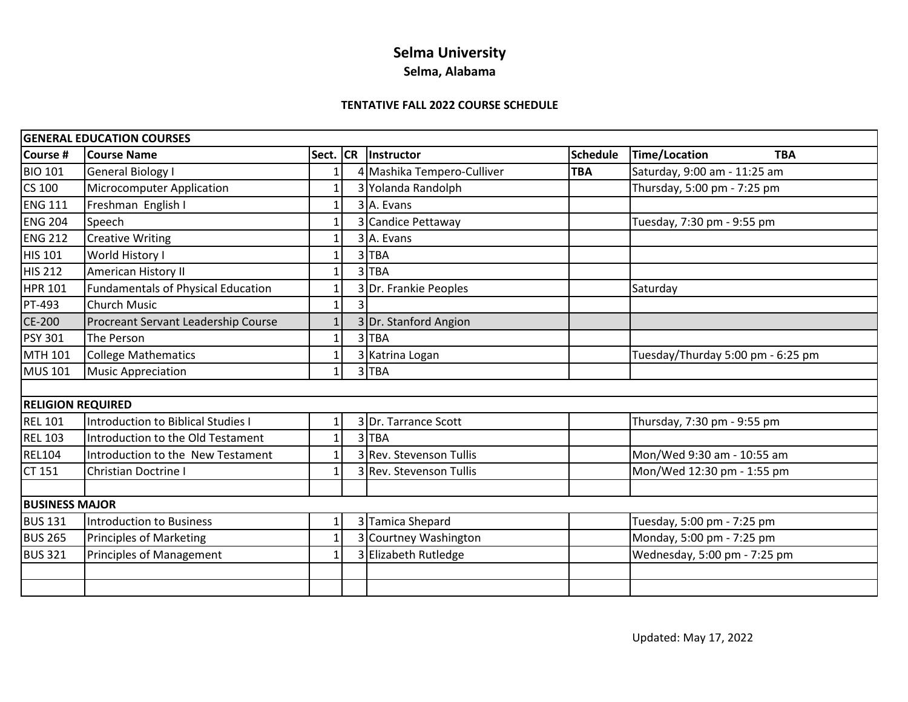# **Selma University**

## **Selma, Alabama**

#### **TENTATIVE FALL 2022 COURSE SCHEDULE**

|                       | <b>GENERAL EDUCATION COURSES</b>          |          |   |                            |                 |                                    |
|-----------------------|-------------------------------------------|----------|---|----------------------------|-----------------|------------------------------------|
| Course #              | <b>Course Name</b>                        | Sect. CR |   | Instructor                 | <b>Schedule</b> | <b>Time/Location</b><br><b>TBA</b> |
| <b>BIO 101</b>        | <b>General Biology I</b>                  |          |   | 4 Mashika Tempero-Culliver | <b>TBA</b>      | Saturday, 9:00 am - 11:25 am       |
| CS 100                | Microcomputer Application                 |          |   | 3 Yolanda Randolph         |                 | Thursday, 5:00 pm - 7:25 pm        |
| <b>ENG 111</b>        | Freshman English I                        |          |   | 3 A. Evans                 |                 |                                    |
| <b>ENG 204</b>        | Speech                                    |          |   | 3 Candice Pettaway         |                 | Tuesday, 7:30 pm - 9:55 pm         |
| <b>ENG 212</b>        | <b>Creative Writing</b>                   |          |   | 3 A. Evans                 |                 |                                    |
| <b>HIS 101</b>        | World History I                           |          |   | 3TBA                       |                 |                                    |
| <b>HIS 212</b>        | American History II                       |          |   | 3TBA                       |                 |                                    |
| <b>HPR 101</b>        | <b>Fundamentals of Physical Education</b> |          |   | 3 Dr. Frankie Peoples      |                 | Saturday                           |
| PT-493                | <b>Church Music</b>                       |          | 3 |                            |                 |                                    |
| CE-200                | Procreant Servant Leadership Course       |          |   | 3 Dr. Stanford Angion      |                 |                                    |
| <b>PSY 301</b>        | The Person                                |          |   | 3TBA                       |                 |                                    |
| MTH 101               | <b>College Mathematics</b>                |          |   | 3 Katrina Logan            |                 | Tuesday/Thurday 5:00 pm - 6:25 pm  |
| <b>MUS 101</b>        | <b>Music Appreciation</b>                 |          |   | 3TBA                       |                 |                                    |
|                       |                                           |          |   |                            |                 |                                    |
|                       | <b>RELIGION REQUIRED</b>                  |          |   |                            |                 |                                    |
| <b>REL 101</b>        | <b>Introduction to Biblical Studies I</b> |          |   | 3 Dr. Tarrance Scott       |                 | Thursday, 7:30 pm - 9:55 pm        |
| <b>REL 103</b>        | Introduction to the Old Testament         |          |   | 3TBA                       |                 |                                    |
| <b>REL104</b>         | Introduction to the New Testament         |          |   | 3 Rev. Stevenson Tullis    |                 | Mon/Wed 9:30 am - 10:55 am         |
| CT 151                | <b>Christian Doctrine I</b>               |          |   | 3 Rev. Stevenson Tullis    |                 | Mon/Wed 12:30 pm - 1:55 pm         |
|                       |                                           |          |   |                            |                 |                                    |
| <b>BUSINESS MAJOR</b> |                                           |          |   |                            |                 |                                    |
| <b>BUS 131</b>        | <b>Introduction to Business</b>           |          |   | 3 Tamica Shepard           |                 | Tuesday, 5:00 pm - 7:25 pm         |
| <b>BUS 265</b>        | <b>Principles of Marketing</b>            |          |   | 3 Courtney Washington      |                 | Monday, 5:00 pm - 7:25 pm          |
| <b>BUS 321</b>        | <b>Principles of Management</b>           |          |   | 3 Elizabeth Rutledge       |                 | Wednesday, 5:00 pm - 7:25 pm       |
|                       |                                           |          |   |                            |                 |                                    |
|                       |                                           |          |   |                            |                 |                                    |
|                       |                                           |          |   |                            |                 |                                    |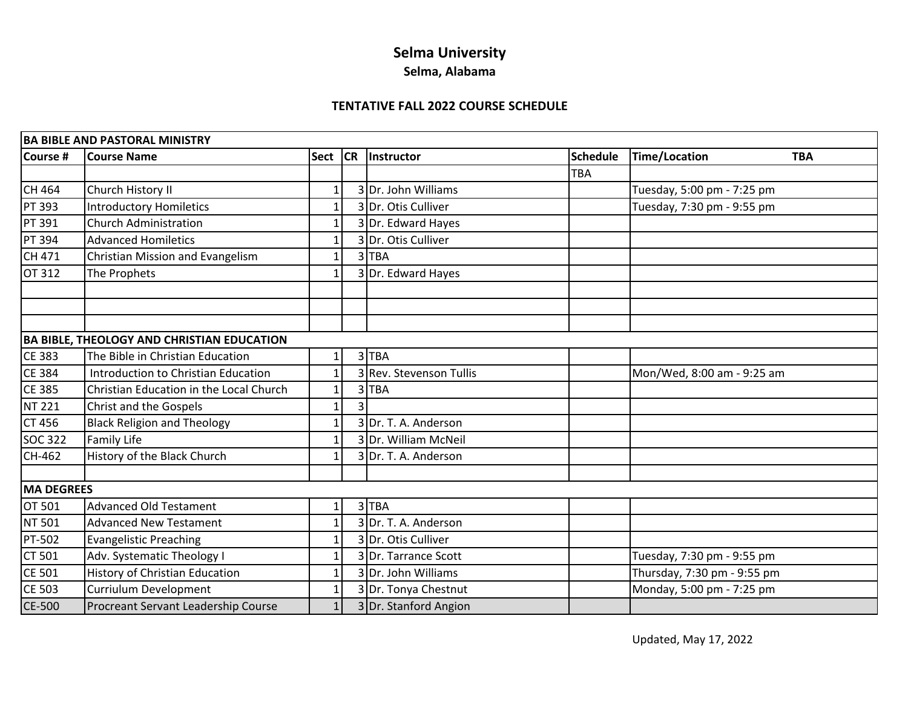# **Selma University**

### **Selma, Alabama**

### **TENTATIVE FALL 2022 COURSE SCHEDULE**

| <b>BA BIBLE AND PASTORAL MINISTRY</b>             |                                         |              |           |                         |                 |                                    |  |  |  |  |
|---------------------------------------------------|-----------------------------------------|--------------|-----------|-------------------------|-----------------|------------------------------------|--|--|--|--|
| Course #                                          | <b>Course Name</b>                      | Sect         | <b>CR</b> | Instructor              | <b>Schedule</b> | <b>Time/Location</b><br><b>TBA</b> |  |  |  |  |
|                                                   |                                         |              |           |                         | <b>TBA</b>      |                                    |  |  |  |  |
| CH 464                                            | Church History II                       |              |           | 3 Dr. John Williams     |                 | Tuesday, 5:00 pm - 7:25 pm         |  |  |  |  |
| <b>PT 393</b>                                     | <b>Introductory Homiletics</b>          | 1            |           | 3 Dr. Otis Culliver     |                 | Tuesday, 7:30 pm - 9:55 pm         |  |  |  |  |
| <b>PT 391</b>                                     | <b>Church Administration</b>            | 1            |           | 3 Dr. Edward Hayes      |                 |                                    |  |  |  |  |
| PT 394                                            | <b>Advanced Homiletics</b>              | 1            |           | 3Dr. Otis Culliver      |                 |                                    |  |  |  |  |
| CH 471                                            | Christian Mission and Evangelism        | 1            |           | 3TBA                    |                 |                                    |  |  |  |  |
| OT 312                                            | The Prophets                            | 1            |           | 3 Dr. Edward Hayes      |                 |                                    |  |  |  |  |
|                                                   |                                         |              |           |                         |                 |                                    |  |  |  |  |
|                                                   |                                         |              |           |                         |                 |                                    |  |  |  |  |
|                                                   |                                         |              |           |                         |                 |                                    |  |  |  |  |
| <b>BA BIBLE, THEOLOGY AND CHRISTIAN EDUCATION</b> |                                         |              |           |                         |                 |                                    |  |  |  |  |
| <b>CE 383</b>                                     | The Bible in Christian Education        | 1            |           | 3TBA                    |                 |                                    |  |  |  |  |
| <b>CE 384</b>                                     | Introduction to Christian Education     | 1            |           | 3 Rev. Stevenson Tullis |                 | Mon/Wed, 8:00 am - 9:25 am         |  |  |  |  |
| <b>CE 385</b>                                     | Christian Education in the Local Church |              |           | 3TBA                    |                 |                                    |  |  |  |  |
| <b>NT 221</b>                                     | Christ and the Gospels                  | 1            |           |                         |                 |                                    |  |  |  |  |
| <b>CT 456</b>                                     | <b>Black Religion and Theology</b>      | 1            |           | Dr. T. A. Anderson      |                 |                                    |  |  |  |  |
| <b>SOC 322</b>                                    | Family Life                             |              |           | 3 Dr. William McNeil    |                 |                                    |  |  |  |  |
| CH-462                                            | History of the Black Church             |              |           | 3 Dr. T. A. Anderson    |                 |                                    |  |  |  |  |
|                                                   |                                         |              |           |                         |                 |                                    |  |  |  |  |
| <b>MA DEGREES</b>                                 |                                         |              |           |                         |                 |                                    |  |  |  |  |
| OT 501                                            | <b>Advanced Old Testament</b>           | 1            |           | 3TBA                    |                 |                                    |  |  |  |  |
| NT 501                                            | <b>Advanced New Testament</b>           | 1            |           | 3Dr. T. A. Anderson     |                 |                                    |  |  |  |  |
| <b>PT-502</b>                                     | <b>Evangelistic Preaching</b>           |              |           | 3Dr. Otis Culliver      |                 |                                    |  |  |  |  |
| CT 501                                            | Adv. Systematic Theology I              | $\mathbf{1}$ |           | 3 Dr. Tarrance Scott    |                 | Tuesday, 7:30 pm - 9:55 pm         |  |  |  |  |
| <b>CE 501</b>                                     | History of Christian Education          |              |           | 3Dr. John Williams      |                 | Thursday, 7:30 pm - 9:55 pm        |  |  |  |  |
| <b>CE 503</b>                                     | Curriulum Development                   | 1            |           | 3 Dr. Tonya Chestnut    |                 | Monday, 5:00 pm - 7:25 pm          |  |  |  |  |
| CE-500                                            | Procreant Servant Leadership Course     | $\mathbf{1}$ |           | 3 Dr. Stanford Angion   |                 |                                    |  |  |  |  |